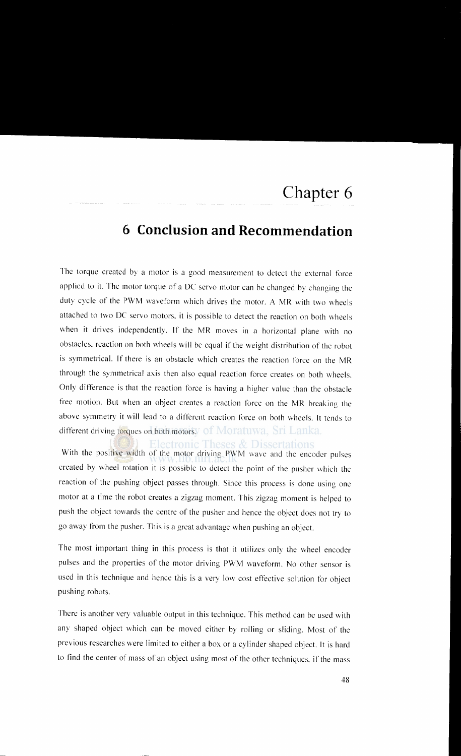## **6 Conclusion and Recommendation**

The torque created by a motor is a good measurement to detect the external force applied to it. The motor torque of a DC servo motor can be changed by changing the duty cycle of the PWM waveform which drives the motor. A MR with two wheels attached to two DC servo motors. it is possible to detect the reaction on both wheels when it drives independently. If the MR moves in a horizontal plane with no obstacles. reaction on both wheels will be equal if the weight distribution of the robot is symmetrical. If there is an obstacle which creates the reaction force on the MR through the symmetrical axis then also equal reaction force creates on both wheels. Only difference is that the reaction force is having a higher value than the obstacle free motion. But when an object creates a reaction force on the MR breaking the above symmetry it will lead to a different reaction force on both wheels. It tends to different driving torques on both motorsy of Moratuwa, Sri Lanka.

Electronic Theses & Dissertations With the positive width of the motor driving PWM wave and the encoder pulses created by wheel rotation it is possible to detect the point of the pusher which the reaction of the pushing object passes through. Since this process is done using one motor at a time the robot creates a zigzag moment. This zigzag moment is helped to push the object towards the centre of the pusher and hence the object does not try to go away from the pusher. This is a great advantage \vhen pushing an object.

The most important thing in this process is that it utilizes only the wheel encoder pulses and the properties of the motor driving PWM waveform. No other sensor is used in this technique and hence this is a very low cost effective solution tor object pushing robots.

There is another very valuable output in this technique. This method can be used with any shaped object which can be moved either by rolling or sliding. Most of the previous researches were limited to either a box or a cylinder shaped object. It is hard to find the center of mass of an object using most of the other techniques. if the mass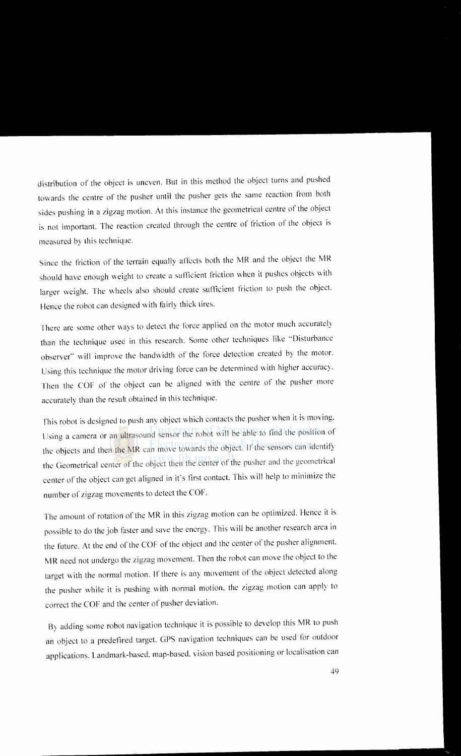distribution of the object is uneven. But in this method the object turns and pushed towards the centre of the pusher until the pusher gets the same reaction from both sides pushing in a zigzag motion. At this instance the geometrical centre of the object is not important. The reaction created through the centre of friction of the object is measured by this technique.

Since the friction of the terrain equally affects both the MR and the object the MR should have enough weight to create a sufficient friction when it pushes objects with larger weight. The wheels also should create sufficient friction to push the object. Hence the robot can designed with fairly thick tires.

There are some other ways to detect the force applied on the motor much accurately than the technique used in this research. Some other techniques like '"Disturbance observer" will improve the bandwidth of the force detection created by the motor. Using this technique the motor driving force can be determined vvith higher accuracy. Then the COF of the object can be aligned with the centre of the pusher more accurately than the result obtained in this technique.

This robot is designed to push any object which contacts the pusher when it is moving. Using a camera or an ultrasound sensor the robot will be able to find the position of the objects and then the MR can move towards the object. If the sensors can identify the Geometrical center of the object then the center of the pusher and the geometrical center of the object can get aligned in it's first contact. This will help to minimize the number of zigzag movements to detect the COF.

The amount of rotation of the MR in this zigzag motion can be optimized. Hence it is possible to do the job faster and save the energy. This will be another research area in the future. At the end of the COF of the object and the center of the pusher alignment MR need not undergo the zigzag movement. Then the robot can move the object to the target with the normal motion. If there is any movement of the object detected along the pusher while it is pushing with normal motion. the zigzag motion can apply to correct the COF and the center of pusher deviation.

By adding some robot navigation technique it is possible to develop this MR to push an object to a predefined target. GPS navigation techniques can be used for outdoor applications. Landmark-based. map-based. vision based positioning or localisation can